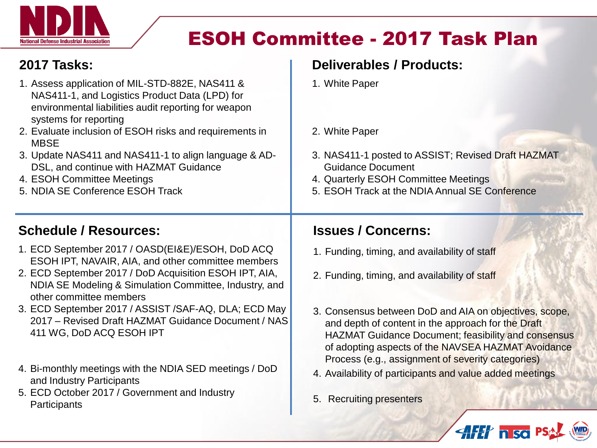

# ESOH Committee - 2017 Task Plan

### **2017 Tasks:**

- 1. Assess application of MIL-STD-882E, NAS411 & NAS411-1, and Logistics Product Data (LPD) for environmental liabilities audit reporting for weapon systems for reporting
- 2. Evaluate inclusion of ESOH risks and requirements in **MBSE**
- 3. Update NAS411 and NAS411-1 to align language & AD-DSL, and continue with HAZMAT Guidance
- 4. ESOH Committee Meetings
- 5. NDIA SE Conference ESOH Track

### **Schedule / Resources:**

- 1. ECD September 2017 / OASD(EI&E)/ESOH, DoD ACQ ESOH IPT, NAVAIR, AIA, and other committee members
- 2. ECD September 2017 / DoD Acquisition ESOH IPT, AIA, NDIA SE Modeling & Simulation Committee, Industry, and other committee members
- 3. ECD September 2017 / ASSIST /SAF-AQ, DLA; ECD May 2017 – Revised Draft HAZMAT Guidance Document / NAS 411 WG, DoD ACQ ESOH IPT
- 4. Bi-monthly meetings with the NDIA SED meetings / DoD and Industry Participants
- 5. ECD October 2017 / Government and Industry **Participants**

### **Deliverables / Products:**

- 1. White Paper
- 2. White Paper
- 3. NAS411-1 posted to ASSIST; Revised Draft HAZMAT Guidance Document
- 4. Quarterly ESOH Committee Meetings
- 5. ESOH Track at the NDIA Annual SE Conference

#### **Issues / Concerns:**

- 1. Funding, timing, and availability of staff
- 2. Funding, timing, and availability of staff
- 3. Consensus between DoD and AIA on objectives, scope, and depth of content in the approach for the Draft HAZMAT Guidance Document; feasibility and consensus of adopting aspects of the NAVSEA HAZMAT Avoidance Process (e.g., assignment of severity categories)

**AFET nso** 

- 4. Availability of participants and value added meetings
- 5. Recruiting presenters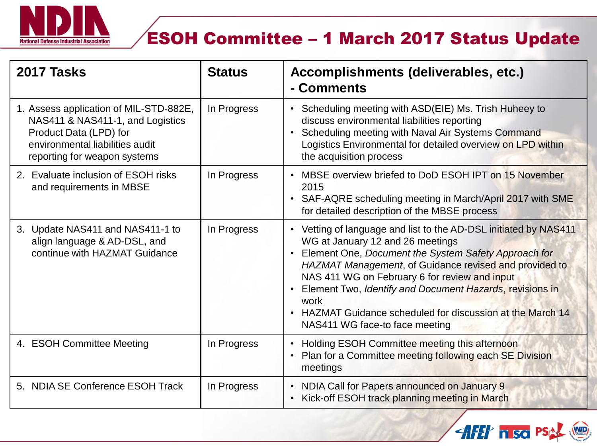

# ESOH Committee – 1 March 2017 Status Update

| 2017 Tasks                                                                                                                                                              | <b>Status</b> | Accomplishments (deliverables, etc.)<br>- Comments                                                                                                                                                                                                                                                                                                                                                                                               |
|-------------------------------------------------------------------------------------------------------------------------------------------------------------------------|---------------|--------------------------------------------------------------------------------------------------------------------------------------------------------------------------------------------------------------------------------------------------------------------------------------------------------------------------------------------------------------------------------------------------------------------------------------------------|
| 1. Assess application of MIL-STD-882E,<br>NAS411 & NAS411-1, and Logistics<br>Product Data (LPD) for<br>environmental liabilities audit<br>reporting for weapon systems | In Progress   | Scheduling meeting with ASD(EIE) Ms. Trish Huheey to<br>$\bullet$<br>discuss environmental liabilities reporting<br>Scheduling meeting with Naval Air Systems Command<br>$\bullet$<br>Logistics Environmental for detailed overview on LPD within<br>the acquisition process                                                                                                                                                                     |
| 2. Evaluate inclusion of ESOH risks<br>and requirements in MBSE                                                                                                         | In Progress   | MBSE overview briefed to DoD ESOH IPT on 15 November<br>$\bullet$<br>2015<br>• SAF-AQRE scheduling meeting in March/April 2017 with SME<br>for detailed description of the MBSE process                                                                                                                                                                                                                                                          |
| 3. Update NAS411 and NAS411-1 to<br>align language & AD-DSL, and<br>continue with HAZMAT Guidance                                                                       | In Progress   | • Vetting of language and list to the AD-DSL initiated by NAS411<br>WG at January 12 and 26 meetings<br>Element One, Document the System Safety Approach for<br>HAZMAT Management, of Guidance revised and provided to<br>NAS 411 WG on February 6 for review and input<br>Element Two, Identify and Document Hazards, revisions in<br>work<br><b>HAZMAT Guidance scheduled for discussion at the March 14</b><br>NAS411 WG face-to face meeting |
| 4. ESOH Committee Meeting                                                                                                                                               | In Progress   | Holding ESOH Committee meeting this afternoon<br>$\bullet$<br>Plan for a Committee meeting following each SE Division<br>$\bullet$<br>meetings                                                                                                                                                                                                                                                                                                   |
| 5. NDIA SE Conference ESOH Track                                                                                                                                        | In Progress   | NDIA Call for Papers announced on January 9<br>$\bullet$<br>Kick-off ESOH track planning meeting in March<br>$\bullet$                                                                                                                                                                                                                                                                                                                           |